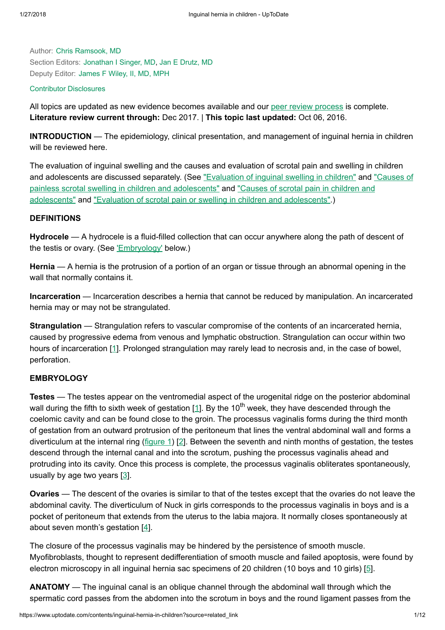Author: Chris [Ramsook,](https://www.uptodate.com/contents/inguinal-hernia-in-children/contributors) MD Section Editors: [Jonathan](https://www.uptodate.com/contents/inguinal-hernia-in-children/contributors) I Singer, MD, Jan E [Drutz,](https://www.uptodate.com/contents/inguinal-hernia-in-children/contributors) MD Deputy Editor: [James](https://www.uptodate.com/contents/inguinal-hernia-in-children/contributors) F Wiley, II, MD, MPH

### Contributor [Disclosures](https://www.uptodate.com/contents/inguinal-hernia-in-children/contributor-disclosure)

All topics are updated as new evidence becomes available and our peer review [process](https://www.uptodate.com/home/editorial-policy) is complete. Literature review current through: Dec 2017. | This topic last updated: Oct 06, 2016.

INTRODUCTION — The epidemiology, clinical presentation, and management of inguinal hernia in children will be reviewed here.

The evaluation of inguinal swelling and the causes and evaluation of scrotal pain and swelling in children and adolescents are discussed separately. (See "Evaluation of [inguinal swelling](https://www.uptodate.com/contents/evaluation-of-inguinal-swelling-in-children?source=see_link) in children" and "Causes of painless [scrotal swelling](https://www.uptodate.com/contents/causes-of-scrotal-pain-in-children-and-adolescents?source=see_link) in children and adolescents" and "Causes of scrotal pain in children and adolescents" and "Evaluation of scrotal pain or swelling in children and [adolescents".](https://www.uptodate.com/contents/evaluation-of-scrotal-pain-or-swelling-in-children-and-adolescents?source=see_link))

## DEFINITIONS

Hydrocele — A hydrocele is a fluid-filled collection that can occur anywhere along the path of descent of the testis or ovary. (See ['Embryology'](https://www.uptodate.com/contents/inguinal-hernia-in-children?source=related_link#H7) below.)

Hernia — A hernia is the protrusion of a portion of an organ or tissue through an abnormal opening in the wall that normally contains it.

Incarceration — Incarceration describes a hernia that cannot be reduced by manipulation. An incarcerated hernia may or may not be strangulated.

**Strangulation** — Strangulation refers to vascular compromise of the contents of an incarcerated hernia, caused by progressive edema from venous and lymphatic obstruction. Strangulation can occur within two hours of incarceration [[1\]](https://www.uptodate.com/contents/inguinal-hernia-in-children/abstract/1). Prolonged strangulation may rarely lead to necrosis and, in the case of bowel, perforation.

## **EMBRYOLOGY**

Testes — The testes appear on the ventromedial aspect of the urogenital ridge on the posterior abdominal wall during the fifth to sixth week of gestation [\[1](https://www.uptodate.com/contents/inguinal-hernia-in-children/abstract/1)]. By the 10<sup>th</sup> week, they have descended through the coelomic cavity and can be found close to the groin. The processus vaginalis forms during the third month of gestation from an outward protrusion of the peritoneum that lines the ventral abdominal wall and forms a diverticulum at the internal ring [\(figure](https://www.uptodate.com/contents/image?imageKey=PEDS%2F78798&topicKey=EM%2F6476&source=see_link) 1) [\[2](https://www.uptodate.com/contents/inguinal-hernia-in-children/abstract/2)]. Between the seventh and ninth months of gestation, the testes descend through the internal canal and into the scrotum, pushing the processus vaginalis ahead and protruding into its cavity. Once this process is complete, the processus vaginalis obliterates spontaneously, usually by age two years [\[3](https://www.uptodate.com/contents/inguinal-hernia-in-children/abstract/3)].

Ovaries — The descent of the ovaries is similar to that of the testes except that the ovaries do not leave the abdominal cavity. The diverticulum of Nuck in girls corresponds to the processus vaginalis in boys and is a pocket of peritoneum that extends from the uterus to the labia majora. It normally closes spontaneously at about seven month's gestation  $[4]$  $[4]$ .

The closure of the processus vaginalis may be hindered by the persistence of smooth muscle. Myofibroblasts, thought to represent dedifferentiation of smooth muscle and failed apoptosis, were found by electron microscopy in all inguinal hernia sac specimens of 20 children (10 boys and 10 girls) [[5\]](https://www.uptodate.com/contents/inguinal-hernia-in-children/abstract/5).

ANATOMY — The inguinal canal is an oblique channel through the abdominal wall through which the spermatic cord passes from the abdomen into the scrotum in boys and the round ligament passes from the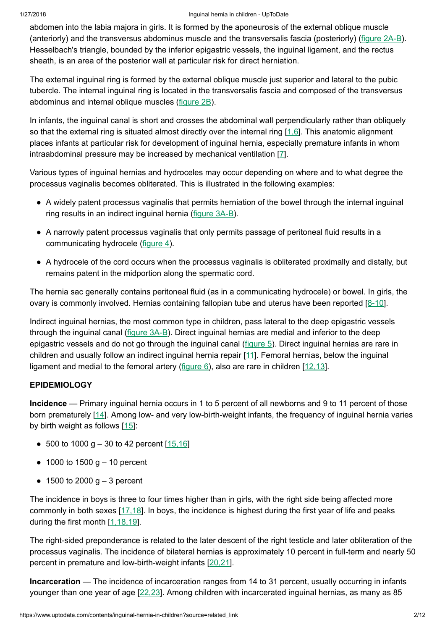### 1/27/2018 Inguinal hernia in children - UpToDate

abdomen into the labia majora in girls. It is formed by the aponeurosis of the external oblique muscle (anteriorly) and the transversus abdominus muscle and the transversalis fascia (posteriorly) ([figure](https://www.uptodate.com/contents/image?imageKey=PEDS%2F60403%7EPEDS%2F57672&topicKey=EM%2F6476&source=see_link) 2A-B). Hesselbach's triangle, bounded by the inferior epigastric vessels, the inguinal ligament, and the rectus sheath, is an area of the posterior wall at particular risk for direct herniation.

The external inguinal ring is formed by the external oblique muscle just superior and lateral to the pubic tubercle. The internal inguinal ring is located in the transversalis fascia and composed of the transversus abdominus and internal oblique muscles [\(figure](https://www.uptodate.com/contents/image?imageKey=PEDS%2F57672&topicKey=EM%2F6476&source=see_link) 2B).

In infants, the inguinal canal is short and crosses the abdominal wall perpendicularly rather than obliquely so that the external ring is situated almost directly over the internal ring [[1,6\]](https://www.uptodate.com/contents/inguinal-hernia-in-children/abstract/1,6). This anatomic alignment places infants at particular risk for development of inguinal hernia, especially premature infants in whom intraabdominal pressure may be increased by mechanical ventilation [\[7](https://www.uptodate.com/contents/inguinal-hernia-in-children/abstract/7)].

Various types of inguinal hernias and hydroceles may occur depending on where and to what degree the processus vaginalis becomes obliterated. This is illustrated in the following examples:

- A widely patent processus vaginalis that permits herniation of the bowel through the internal inguinal ring results in an indirect inguinal hernia ([figure](https://www.uptodate.com/contents/image?imageKey=PEDS%2F67349%7EPEDS%2F82091&topicKey=EM%2F6476&source=see_link) 3A-B).
- A narrowly patent processus vaginalis that only permits passage of peritoneal fluid results in a communicating hydrocele [\(figure](https://www.uptodate.com/contents/image?imageKey=PEDS%2F70784&topicKey=EM%2F6476&source=see_link) 4).
- A hydrocele of the cord occurs when the processus vaginalis is obliterated proximally and distally, but remains patent in the midportion along the spermatic cord.

The hernia sac generally contains peritoneal fluid (as in a communicating hydrocele) or bowel. In girls, the ovary is commonly involved. Hernias containing fallopian tube and uterus have been reported [\[8-10](https://www.uptodate.com/contents/inguinal-hernia-in-children/abstract/8-10)].

Indirect inguinal hernias, the most common type in children, pass lateral to the deep epigastric vessels through the inguinal canal [\(figure](https://www.uptodate.com/contents/image?imageKey=PEDS%2F67349%7EPEDS%2F82091&topicKey=EM%2F6476&source=see_link) 3A-B). Direct inguinal hernias are medial and inferior to the deep epigastric vessels and do not go through the inguinal canal ([figure](https://www.uptodate.com/contents/image?imageKey=PEDS%2F51224&topicKey=EM%2F6476&source=see_link) 5). Direct inguinal hernias are rare in children and usually follow an indirect inguinal hernia repair [\[11\]](https://www.uptodate.com/contents/inguinal-hernia-in-children/abstract/11). Femoral hernias, below the inguinal ligament and medial to the femoral artery ([figure](https://www.uptodate.com/contents/image?imageKey=PEDS%2F63036&topicKey=EM%2F6476&source=see_link)  $6$ ), also are rare in children  $[12,13]$  $[12,13]$ .

# **EPIDEMIOLOGY**

Incidence — Primary inguinal hernia occurs in 1 to 5 percent of all newborns and 9 to 11 percent of those born prematurely [\[14](https://www.uptodate.com/contents/inguinal-hernia-in-children/abstract/14)]. Among low- and very low-birth-weight infants, the frequency of inguinal hernia varies by birth weight as follows [[15\]](https://www.uptodate.com/contents/inguinal-hernia-in-children/abstract/15):

- 500 to 1000 g  $-$  30 to 42 percent  $[15, 16]$
- 1000 to 1500 g 10 percent
- $\bullet$  1500 to 2000 g 3 percent

The incidence in boys is three to four times higher than in girls, with the right side being affected more commonly in both sexes [[17,18\]](https://www.uptodate.com/contents/inguinal-hernia-in-children/abstract/17,18). In boys, the incidence is highest during the first year of life and peaks during the first month [[1,18,19\]](https://www.uptodate.com/contents/inguinal-hernia-in-children/abstract/1,18,19).

The right-sided preponderance is related to the later descent of the right testicle and later obliteration of the processus vaginalis. The incidence of bilateral hernias is approximately 10 percent in full-term and nearly 50 percent in premature and low-birth-weight infants [\[20,21](https://www.uptodate.com/contents/inguinal-hernia-in-children/abstract/20,21)].

Incarceration — The incidence of incarceration ranges from 14 to 31 percent, usually occurring in infants younger than one year of age [[22,23](https://www.uptodate.com/contents/inguinal-hernia-in-children/abstract/22,23)]. Among children with incarcerated inguinal hernias, as many as 85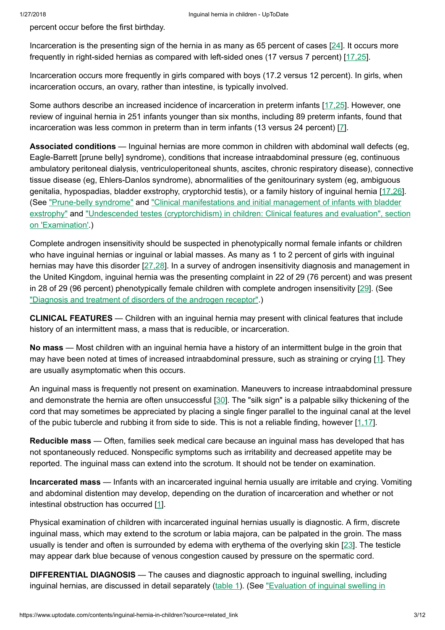percent occur before the first birthday.

Incarceration is the presenting sign of the hernia in as many as 65 percent of cases [\[24](https://www.uptodate.com/contents/inguinal-hernia-in-children/abstract/24)]. It occurs more frequently in right-sided hernias as compared with left-sided ones (17 versus 7 percent) [[17,25\]](https://www.uptodate.com/contents/inguinal-hernia-in-children/abstract/17,25).

Incarceration occurs more frequently in girls compared with boys (17.2 versus 12 percent). In girls, when incarceration occurs, an ovary, rather than intestine, is typically involved.

Some authors describe an increased incidence of incarceration in preterm infants [\[17,25\]](https://www.uptodate.com/contents/inguinal-hernia-in-children/abstract/17,25). However, one review of inguinal hernia in 251 infants younger than six months, including 89 preterm infants, found that incarceration was less common in preterm than in term infants (13 versus 24 percent) [\[7](https://www.uptodate.com/contents/inguinal-hernia-in-children/abstract/7)].

Associated conditions — Inguinal hernias are more common in children with abdominal wall defects (eg, Eagle-Barrett [prune belly] syndrome), conditions that increase intraabdominal pressure (eg, continuous ambulatory peritoneal dialysis, ventriculoperitoneal shunts, ascites, chronic respiratory disease), connective tissue disease (eg, Ehlers-Danlos syndrome), abnormalities of the genitourinary system (eg, ambiguous genitalia, hypospadias, bladder exstrophy, cryptorchid testis), or a family history of inguinal hernia [[17,26\]](https://www.uptodate.com/contents/inguinal-hernia-in-children/abstract/17,26). (See ["Prune-belly](https://www.uptodate.com/contents/prune-belly-syndrome?source=see_link) syndrome" and ["Clinical manifestations](https://www.uptodate.com/contents/clinical-manifestations-and-initial-management-of-infants-with-bladder-exstrophy?source=see_link) and initial management of infants with bladder exstrophy" and "Undescended testes (cryptorchidism) in children: [Clinical features](https://www.uptodate.com/contents/undescended-testes-cryptorchidism-in-children-clinical-features-and-evaluation?sectionName=Examination&anchor=H10&source=see_link#H10) and evaluation", section on 'Examination'.)

Complete androgen insensitivity should be suspected in phenotypically normal female infants or children who have inguinal hernias or inguinal or labial masses. As many as 1 to 2 percent of girls with inguinal hernias may have this disorder [[27,28\]](https://www.uptodate.com/contents/inguinal-hernia-in-children/abstract/27,28). In a survey of androgen insensitivity diagnosis and management in the United Kingdom, inguinal hernia was the presenting complaint in 22 of 29 (76 percent) and was present in 28 of 29 (96 percent) phenotypically female children with complete androgen insensitivity [\[29](https://www.uptodate.com/contents/inguinal-hernia-in-children/abstract/29)]. (See ["Diagnosis](https://www.uptodate.com/contents/diagnosis-and-treatment-of-disorders-of-the-androgen-receptor?source=see_link) and treatment of disorders of the androgen receptor".)

CLINICAL FEATURES — Children with an inguinal hernia may present with clinical features that include history of an intermittent mass, a mass that is reducible, or incarceration.

No mass — Most children with an inguinal hernia have a history of an intermittent bulge in the groin that may have been noted at times of increased intraabdominal pressure, such as straining or crying [[1\]](https://www.uptodate.com/contents/inguinal-hernia-in-children/abstract/1). They are usually asymptomatic when this occurs.

An inguinal mass is frequently not present on examination. Maneuvers to increase intraabdominal pressure and demonstrate the hernia are often unsuccessful [\[30](https://www.uptodate.com/contents/inguinal-hernia-in-children/abstract/30)]. The "silk sign" is a palpable silky thickening of the cord that may sometimes be appreciated by placing a single finger parallel to the inguinal canal at the level of the pubic tubercle and rubbing it from side to side. This is not a reliable finding, however [[1,17\]](https://www.uptodate.com/contents/inguinal-hernia-in-children/abstract/1,17).

Reducible mass — Often, families seek medical care because an inguinal mass has developed that has not spontaneously reduced. Nonspecific symptoms such as irritability and decreased appetite may be reported. The inguinal mass can extend into the scrotum. It should not be tender on examination.

Incarcerated mass — Infants with an incarcerated inguinal hernia usually are irritable and crying. Vomiting and abdominal distention may develop, depending on the duration of incarceration and whether or not intestinal obstruction has occurred [[1\]](https://www.uptodate.com/contents/inguinal-hernia-in-children/abstract/1).

Physical examination of children with incarcerated inguinal hernias usually is diagnostic. A firm, discrete inguinal mass, which may extend to the scrotum or labia majora, can be palpated in the groin. The mass usually is tender and often is surrounded by edema with erythema of the overlying skin [[23\]](https://www.uptodate.com/contents/inguinal-hernia-in-children/abstract/23). The testicle may appear dark blue because of venous congestion caused by pressure on the spermatic cord.

DIFFERENTIAL DIAGNOSIS — The causes and diagnostic approach to inguinal swelling, including inguinal hernias, are discussed in detail separately ([table](https://www.uptodate.com/contents/image?imageKey=EM%2F83582&topicKey=EM%2F6476&source=see_link) 1). (See "Evaluation of [inguinal swelling](https://www.uptodate.com/contents/evaluation-of-inguinal-swelling-in-children?sectionName=CAUSES+OF+INGUINAL+SWELLING&anchor=H7223760&source=see_link#H7223760) in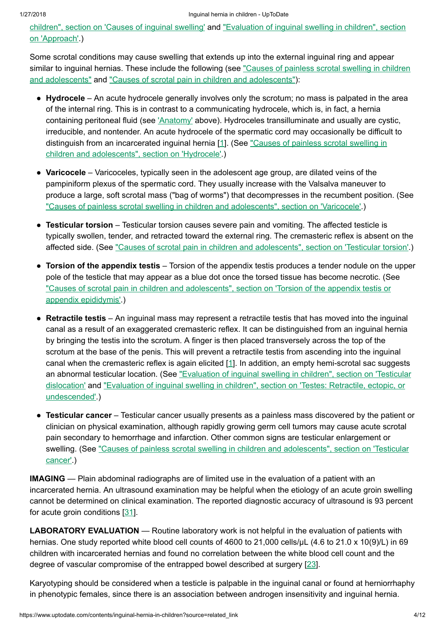children", section on 'Causes of [inguinal swelling'](https://www.uptodate.com/contents/evaluation-of-inguinal-swelling-in-children?sectionName=CAUSES+OF+INGUINAL+SWELLING&anchor=H7223760&source=see_link#H7223760) and "Evaluation of inguinal swelling in children", section on 'Approach'.)

Some scrotal conditions may cause swelling that extends up into the external inguinal ring and appear similar to [inguinal hernias.](https://www.uptodate.com/contents/causes-of-painless-scrotal-swelling-in-children-and-adolescents?source=see_link) These include the following (see "Causes of painless scrotal swelling in children and adolescents" and "Causes of scrotal pain in children and [adolescents"\)](https://www.uptodate.com/contents/causes-of-scrotal-pain-in-children-and-adolescents?source=see_link):

- Hydrocele An acute hydrocele generally involves only the scrotum; no mass is palpated in the area of the internal ring. This is in contrast to a communicating hydrocele, which is, in fact, a hernia containing peritoneal fluid (see ['Anatomy'](https://www.uptodate.com/contents/inguinal-hernia-in-children?source=related_link#H10) above). Hydroceles transilluminate and usually are cystic, irreducible, and nontender. An acute hydrocele of the spermatic cord may occasionally be difficult to distinguish from an incarcerated inguinal hernia [[1\]](https://www.uptodate.com/contents/inguinal-hernia-in-children/abstract/1). (See "Causes of painless [scrotal swelling](https://www.uptodate.com/contents/causes-of-painless-scrotal-swelling-in-children-and-adolescents?sectionName=HYDROCELE&anchor=H2&source=see_link#H2) in children and adolescents", section on 'Hydrocele'.)
- Varicocele Varicoceles, typically seen in the adolescent age group, are dilated veins of the pampiniform plexus of the spermatic cord. They usually increase with the Valsalva maneuver to produce a large, soft scrotal mass ("bag of worms") that decompresses in the recumbent position. (See "Causes of painless [scrotal swelling](https://www.uptodate.com/contents/causes-of-painless-scrotal-swelling-in-children-and-adolescents?sectionName=VARICOCELE&anchor=H7&source=see_link#H7) in children and adolescents", section on 'Varicocele'.)
- Testicular torsion Testicular torsion causes severe pain and vomiting. The affected testicle is typically swollen, tender, and retracted toward the external ring. The cremasteric reflex is absent on the affected side. (See "Causes of scrotal pain in children and [adolescents",](https://www.uptodate.com/contents/causes-of-scrotal-pain-in-children-and-adolescents?sectionName=TESTICULAR+TORSION&anchor=H2&source=see_link#H2) section on 'Testicular torsion'.)
- Torsion of the appendix testis Torsion of the appendix testis produces a tender nodule on the upper pole of the testicle that may appear as a blue dot once the torsed tissue has become necrotic. (See "Causes of scrotal pain in children and [adolescents",](https://www.uptodate.com/contents/causes-of-scrotal-pain-in-children-and-adolescents?sectionName=TORSION+OF+THE+APPENDIX+TESTIS+OR+APPENDIX+EPIDIDYMIS&anchor=H9&source=see_link#H9) section on 'Torsion of the appendix testis or appendix epididymis'.)
- Retractile testis An inguinal mass may represent a retractile testis that has moved into the inguinal canal as a result of an exaggerated cremasteric reflex. It can be distinguished from an inguinal hernia by bringing the testis into the scrotum. A finger is then placed transversely across the top of the scrotum at the base of the penis. This will prevent a retractile testis from ascending into the inguinal canal when the cremasteric reflex is again elicited [\[1](https://www.uptodate.com/contents/inguinal-hernia-in-children/abstract/1)]. In addition, an empty hemi-scrotal sac suggests an [abnormal testicular](https://www.uptodate.com/contents/evaluation-of-inguinal-swelling-in-children?sectionName=Testicular+dislocation&anchor=H11662534&source=see_link#H11662534) location. (See "Evaluation of inguinal swelling in children", section on 'Testicular dislocation' and "Evaluation of [inguinal swelling](https://www.uptodate.com/contents/evaluation-of-inguinal-swelling-in-children?sectionName=Testes%3A+Retractile%2C+ectopic%2C+or+undescended&anchor=H11662518&source=see_link#H11662518) in children", section on 'Testes: Retractile, ectopic, or undescended'.)
- Testicular cancer Testicular cancer usually presents as a painless mass discovered by the patient or clinician on physical examination, although rapidly growing germ cell tumors may cause acute scrotal pain secondary to hemorrhage and infarction. Other common signs are testicular enlargement or swelling. (See "Causes of painless [scrotal swelling](https://www.uptodate.com/contents/causes-of-painless-scrotal-swelling-in-children-and-adolescents?sectionName=TESTICULAR+CANCER&anchor=H11&source=see_link#H11) in children and adolescents", section on 'Testicular cancer'.)

IMAGING — Plain abdominal radiographs are of limited use in the evaluation of a patient with an incarcerated hernia. An ultrasound examination may be helpful when the etiology of an acute groin swelling cannot be determined on clinical examination. The reported diagnostic accuracy of ultrasound is 93 percent for acute groin conditions [\[31](https://www.uptodate.com/contents/inguinal-hernia-in-children/abstract/31)].

LABORATORY EVALUATION — Routine laboratory work is not helpful in the evaluation of patients with hernias. One study reported white blood cell counts of 4600 to 21,000 cells/uL (4.6 to 21.0 x 10(9)/L) in 69 children with incarcerated hernias and found no correlation between the white blood cell count and the degree of vascular compromise of the entrapped bowel described at surgery [\[23](https://www.uptodate.com/contents/inguinal-hernia-in-children/abstract/23)].

Karyotyping should be considered when a testicle is palpable in the inguinal canal or found at herniorrhaphy in phenotypic females, since there is an association between androgen insensitivity and inguinal hernia.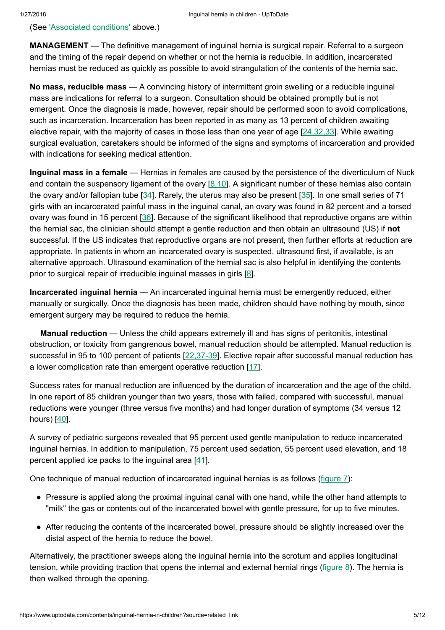(See ['Associated](https://www.uptodate.com/contents/inguinal-hernia-in-children?source=related_link#H14) conditions' above.)

**MANAGEMENT** — The definitive management of inguinal hernia is surgical repair. Referral to a surgeon and the timing of the repair depend on whether or not the hernia is reducible. In addition, incarcerated hernias must be reduced as quickly as possible to avoid strangulation of the contents of the hernia sac.

No mass, reducible mass — A convincing history of intermittent groin swelling or a reducible inguinal mass are indications for referral to a surgeon. Consultation should be obtained promptly but is not emergent. Once the diagnosis is made, however, repair should be performed soon to avoid complications, such as incarceration. Incarceration has been reported in as many as 13 percent of children awaiting elective repair, with the majority of cases in those less than one year of age [[24,32,33](https://www.uptodate.com/contents/inguinal-hernia-in-children/abstract/24,32,33)]. While awaiting surgical evaluation, caretakers should be informed of the signs and symptoms of incarceration and provided with indications for seeking medical attention.

Inguinal mass in a female — Hernias in females are caused by the persistence of the diverticulum of Nuck and contain the suspensory ligament of the ovary  $[8.10]$ . A significant number of these hernias also contain the ovary and/or fallopian tube [\[34](https://www.uptodate.com/contents/inguinal-hernia-in-children/abstract/34)]. Rarely, the uterus may also be present [[35\]](https://www.uptodate.com/contents/inguinal-hernia-in-children/abstract/35). In one small series of 71 girls with an incarcerated painful mass in the inguinal canal, an ovary was found in 82 percent and a torsed ovary was found in 15 percent [[36\]](https://www.uptodate.com/contents/inguinal-hernia-in-children/abstract/36). Because of the significant likelihood that reproductive organs are within the hernial sac, the clinician should attempt a gentle reduction and then obtain an ultrasound (US) if not successful. If the US indicates that reproductive organs are not present, then further efforts at reduction are appropriate. In patients in whom an incarcerated ovary is suspected, ultrasound first, if available, is an alternative approach. Ultrasound examination of the hernial sac is also helpful in identifying the contents prior to surgical repair of irreducible inguinal masses in girls [[8\]](https://www.uptodate.com/contents/inguinal-hernia-in-children/abstract/8).

Incarcerated inguinal hernia — An incarcerated inguinal hernia must be emergently reduced, either manually or surgically. Once the diagnosis has been made, children should have nothing by mouth, since emergent surgery may be required to reduce the hernia.

Manual reduction — Unless the child appears extremely ill and has signs of peritonitis, intestinal obstruction, or toxicity from gangrenous bowel, manual reduction should be attempted. Manual reduction is successful in 95 to 100 percent of patients [\[22,37-39](https://www.uptodate.com/contents/inguinal-hernia-in-children/abstract/22,37-39)]. Elective repair after successful manual reduction has a lower complication rate than emergent operative reduction [[17\]](https://www.uptodate.com/contents/inguinal-hernia-in-children/abstract/17).

Success rates for manual reduction are influenced by the duration of incarceration and the age of the child. In one report of 85 children younger than two years, those with failed, compared with successful, manual reductions were younger (three versus five months) and had longer duration of symptoms (34 versus 12 hours)  $[40]$  $[40]$ .

A survey of pediatric surgeons revealed that 95 percent used gentle manipulation to reduce incarcerated inguinal hernias. In addition to manipulation, 75 percent used sedation, 55 percent used elevation, and 18 percent applied ice packs to the inguinal area [\[41](https://www.uptodate.com/contents/inguinal-hernia-in-children/abstract/41)].

One technique of manual reduction of incarcerated inguinal hernias is as follows [\(figure](https://www.uptodate.com/contents/image?imageKey=EM%2F53146&topicKey=EM%2F6476&source=see_link) 7):

- Pressure is applied along the proximal inguinal canal with one hand, while the other hand attempts to "milk" the gas or contents out of the incarcerated bowel with gentle pressure, for up to five minutes.
- After reducing the contents of the incarcerated bowel, pressure should be slightly increased over the distal aspect of the hernia to reduce the bowel.

Alternatively, the practitioner sweeps along the inguinal hernia into the scrotum and applies longitudinal tension, while providing traction that opens the internal and external hernial rings [\(figure](https://www.uptodate.com/contents/image?imageKey=EM%2F62707&topicKey=EM%2F6476&source=see_link) 8). The hernia is then walked through the opening.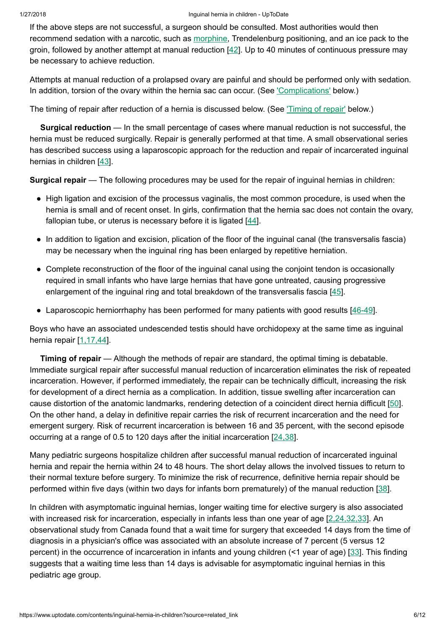If the above steps are not successful, a surgeon should be consulted. Most authorities would then recommend sedation with a narcotic, such as [morphine](https://www.uptodate.com/contents/morphine-pediatric-drug-information?source=see_link), Trendelenburg positioning, and an ice pack to the groin, followed by another attempt at manual reduction [[42\]](https://www.uptodate.com/contents/inguinal-hernia-in-children/abstract/42). Up to 40 minutes of continuous pressure may be necessary to achieve reduction.

Attempts at manual reduction of a prolapsed ovary are painful and should be performed only with sedation. In addition, torsion of the ovary within the hernia sac can occur. (See ['Complications'](https://www.uptodate.com/contents/inguinal-hernia-in-children?source=related_link#H32) below.)

The timing of repair after reduction of a hernia is discussed below. (See ['Timing](https://www.uptodate.com/contents/inguinal-hernia-in-children?source=related_link#H29) of repair' below.)

Surgical reduction — In the small percentage of cases where manual reduction is not successful, the hernia must be reduced surgically. Repair is generally performed at that time. A small observational series has described success using a laparoscopic approach for the reduction and repair of incarcerated inguinal hernias in children [\[43](https://www.uptodate.com/contents/inguinal-hernia-in-children/abstract/43)].

Surgical repair — The following procedures may be used for the repair of inguinal hernias in children:

- High ligation and excision of the processus vaginalis, the most common procedure, is used when the hernia is small and of recent onset. In girls, confirmation that the hernia sac does not contain the ovary, fallopian tube, or uterus is necessary before it is ligated  $[44]$  $[44]$ .
- In addition to ligation and excision, plication of the floor of the inguinal canal (the transversalis fascia) may be necessary when the inguinal ring has been enlarged by repetitive herniation.
- Complete reconstruction of the floor of the inguinal canal using the conjoint tendon is occasionally required in small infants who have large hernias that have gone untreated, causing progressive enlargement of the inguinal ring and total breakdown of the transversalis fascia [[45](https://www.uptodate.com/contents/inguinal-hernia-in-children/abstract/45)].
- Laparoscopic herniorrhaphy has been performed for many patients with good results [\[46-49\]](https://www.uptodate.com/contents/inguinal-hernia-in-children/abstract/46-49).

Boys who have an associated undescended testis should have orchidopexy at the same time as inguinal hernia repair [\[1,17,44](https://www.uptodate.com/contents/inguinal-hernia-in-children/abstract/1,17,44)].

Timing of repair – Although the methods of repair are standard, the optimal timing is debatable. Immediate surgical repair after successful manual reduction of incarceration eliminates the risk of repeated incarceration. However, if performed immediately, the repair can be technically difficult, increasing the risk for development of a direct hernia as a complication. In addition, tissue swelling after incarceration can cause distortion of the anatomic landmarks, rendering detection of a coincident direct hernia difficult [\[50](https://www.uptodate.com/contents/inguinal-hernia-in-children/abstract/50)]. On the other hand, a delay in definitive repair carries the risk of recurrent incarceration and the need for emergent surgery. Risk of recurrent incarceration is between 16 and 35 percent, with the second episode occurring at a range of 0.5 to 120 days after the initial incarceration [[24,38\]](https://www.uptodate.com/contents/inguinal-hernia-in-children/abstract/24,38).

Many pediatric surgeons hospitalize children after successful manual reduction of incarcerated inguinal hernia and repair the hernia within 24 to 48 hours. The short delay allows the involved tissues to return to their normal texture before surgery. To minimize the risk of recurrence, definitive hernia repair should be performed within five days (within two days for infants born prematurely) of the manual reduction [\[38](https://www.uptodate.com/contents/inguinal-hernia-in-children/abstract/38)].

In children with asymptomatic inguinal hernias, longer waiting time for elective surgery is also associated with increased risk for incarceration, especially in infants less than one year of age [\[2,24,32,33](https://www.uptodate.com/contents/inguinal-hernia-in-children/abstract/2,24,32,33)]. An observational study from Canada found that a wait time for surgery that exceeded 14 days from the time of diagnosis in a physician's office was associated with an absolute increase of 7 percent (5 versus 12 percent) in the occurrence of incarceration in infants and young children (<1 year of age) [[33\]](https://www.uptodate.com/contents/inguinal-hernia-in-children/abstract/33). This finding suggests that a waiting time less than 14 days is advisable for asymptomatic inguinal hernias in this pediatric age group.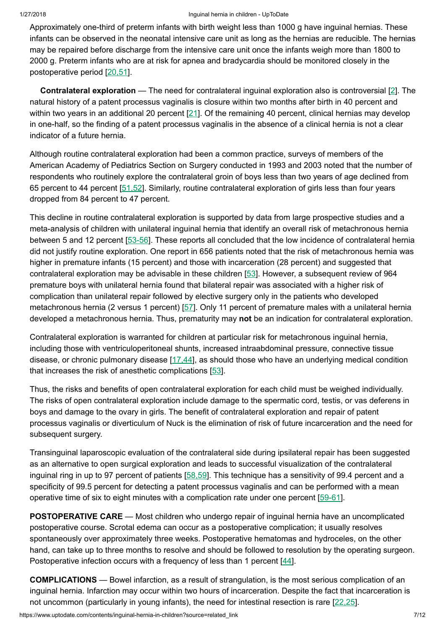#### 1/27/2018 Inguinal hernia in children - UpToDate

Approximately one-third of preterm infants with birth weight less than 1000 g have inguinal hernias. These infants can be observed in the neonatal intensive care unit as long as the hernias are reducible. The hernias may be repaired before discharge from the intensive care unit once the infants weigh more than 1800 to 2000 g. Preterm infants who are at risk for apnea and bradycardia should be monitored closely in the postoperative period [[20,51\]](https://www.uptodate.com/contents/inguinal-hernia-in-children/abstract/20,51).

**Contralateral exploration** — The need for contralateral inguinal exploration also is controversial  $[2]$  $[2]$ . The natural history of a patent processus vaginalis is closure within two months after birth in 40 percent and within two years in an additional 20 percent [[21\]](https://www.uptodate.com/contents/inguinal-hernia-in-children/abstract/21). Of the remaining 40 percent, clinical hernias may develop in one-half, so the finding of a patent processus vaginalis in the absence of a clinical hernia is not a clear indicator of a future hernia.

Although routine contralateral exploration had been a common practice, surveys of members of the American Academy of Pediatrics Section on Surgery conducted in 1993 and 2003 noted that the number of respondents who routinely explore the contralateral groin of boys less than two years of age declined from 65 percent to 44 percent [[51,52\]](https://www.uptodate.com/contents/inguinal-hernia-in-children/abstract/51,52). Similarly, routine contralateral exploration of girls less than four years dropped from 84 percent to 47 percent.

This decline in routine contralateral exploration is supported by data from large prospective studies and a meta-analysis of children with unilateral inguinal hernia that identify an overall risk of metachronous hernia between 5 and 12 percent [[53-56\]](https://www.uptodate.com/contents/inguinal-hernia-in-children/abstract/53-56). These reports all concluded that the low incidence of contralateral hernia did not justify routine exploration. One report in 656 patients noted that the risk of metachronous hernia was higher in premature infants (15 percent) and those with incarceration (28 percent) and suggested that contralateral exploration may be advisable in these children [[53\]](https://www.uptodate.com/contents/inguinal-hernia-in-children/abstract/53). However, a subsequent review of 964 premature boys with unilateral hernia found that bilateral repair was associated with a higher risk of complication than unilateral repair followed by elective surgery only in the patients who developed metachronous hernia (2 versus 1 percent) [[57\]](https://www.uptodate.com/contents/inguinal-hernia-in-children/abstract/57). Only 11 percent of premature males with a unilateral hernia developed a metachronous hernia. Thus, prematurity may not be an indication for contralateral exploration.

Contralateral exploration is warranted for children at particular risk for metachronous inguinal hernia, including those with ventriculoperitoneal shunts, increased intraabdominal pressure, connective tissue disease, or chronic pulmonary disease [\[17,44](https://www.uptodate.com/contents/inguinal-hernia-in-children/abstract/17,44)], as should those who have an underlying medical condition that increases the risk of anesthetic complications [\[53](https://www.uptodate.com/contents/inguinal-hernia-in-children/abstract/53)].

Thus, the risks and benefits of open contralateral exploration for each child must be weighed individually. The risks of open contralateral exploration include damage to the spermatic cord, testis, or vas deferens in boys and damage to the ovary in girls. The benefit of contralateral exploration and repair of patent processus vaginalis or diverticulum of Nuck is the elimination of risk of future incarceration and the need for subsequent surgery.

Transinguinal laparoscopic evaluation of the contralateral side during ipsilateral repair has been suggested as an alternative to open surgical exploration and leads to successful visualization of the contralateral inguinal ring in up to 97 percent of patients [[58,59\]](https://www.uptodate.com/contents/inguinal-hernia-in-children/abstract/58,59). This technique has a sensitivity of 99.4 percent and a specificity of 99.5 percent for detecting a patent processus vaginalis and can be performed with a mean operative time of six to eight minutes with a complication rate under one percent [\[59-61](https://www.uptodate.com/contents/inguinal-hernia-in-children/abstract/59-61)].

POSTOPERATIVE CARE — Most children who undergo repair of inguinal hernia have an uncomplicated postoperative course. Scrotal edema can occur as a postoperative complication; it usually resolves spontaneously over approximately three weeks. Postoperative hematomas and hydroceles, on the other hand, can take up to three months to resolve and should be followed to resolution by the operating surgeon. Postoperative infection occurs with a frequency of less than 1 percent [[44\]](https://www.uptodate.com/contents/inguinal-hernia-in-children/abstract/44).

COMPLICATIONS — Bowel infarction, as a result of strangulation, is the most serious complication of an inguinal hernia. Infarction may occur within two hours of incarceration. Despite the fact that incarceration is not uncommon (particularly in young infants), the need for intestinal resection is rare [[22,25\]](https://www.uptodate.com/contents/inguinal-hernia-in-children/abstract/22,25).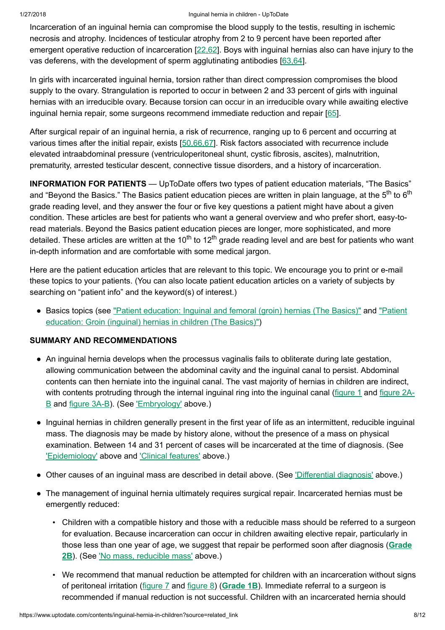### 1/27/2018 Inguinal hernia in children - UpToDate

Incarceration of an inguinal hernia can compromise the blood supply to the testis, resulting in ischemic necrosis and atrophy. Incidences of testicular atrophy from 2 to 9 percent have been reported after emergent operative reduction of incarceration [\[22,62](https://www.uptodate.com/contents/inguinal-hernia-in-children/abstract/22,62)]. Boys with inguinal hernias also can have injury to the vas deferens, with the development of sperm agglutinating antibodies [\[63,64](https://www.uptodate.com/contents/inguinal-hernia-in-children/abstract/63,64)].

In girls with incarcerated inguinal hernia, torsion rather than direct compression compromises the blood supply to the ovary. Strangulation is reported to occur in between 2 and 33 percent of girls with inguinal hernias with an irreducible ovary. Because torsion can occur in an irreducible ovary while awaiting elective inguinal hernia repair, some surgeons recommend immediate reduction and repair [[65](https://www.uptodate.com/contents/inguinal-hernia-in-children/abstract/65)].

After surgical repair of an inguinal hernia, a risk of recurrence, ranging up to 6 percent and occurring at various times after the initial repair, exists [[50,66,67\]](https://www.uptodate.com/contents/inguinal-hernia-in-children/abstract/50,66,67). Risk factors associated with recurrence include elevated intraabdominal pressure (ventriculoperitoneal shunt, cystic fibrosis, ascites), malnutrition, prematurity, arrested testicular descent, connective tissue disorders, and a history of incarceration.

INFORMATION FOR PATIENTS — UpToDate offers two types of patient education materials, "The Basics" and "Beyond the Basics." The Basics patient education pieces are written in plain language, at the 5<sup>th</sup> to 6<sup>th</sup> grade reading level, and they answer the four or five key questions a patient might have about a given condition. These articles are best for patients who want a general overview and who prefer short, easy-toread materials. Beyond the Basics patient education pieces are longer, more sophisticated, and more detailed. These articles are written at the 10<sup>th</sup> to 12<sup>th</sup> grade reading level and are best for patients who want in-depth information and are comfortable with some medical jargon.

Here are the patient education articles that are relevant to this topic. We encourage you to print or e-mail these topics to your patients. (You can also locate patient education articles on a variety of subjects by searching on "patient info" and the keyword(s) of interest.)

• Basics topics (see "Patient education: Inquinal and [femoral \(groin\)](https://www.uptodate.com/contents/groin-inguinal-hernias-in-children-the-basics?source=see_link) hernias (The Basics)" and "Patient education: Groin (inguinal) hernias in children (The Basics)")

# SUMMARY AND RECOMMENDATIONS

- An inguinal hernia develops when the processus vaginalis fails to obliterate during late gestation, allowing communication between the abdominal cavity and the inguinal canal to persist. Abdominal contents can then herniate into the inguinal canal. The vast majority of hernias in children are indirect, with contents protruding through the internal inguinal ring into the [inguinal canal \(f](https://www.uptodate.com/contents/image?imageKey=PEDS%2F60403%7EPEDS%2F57672&topicKey=EM%2F6476&source=see_link)[igure](https://www.uptodate.com/contents/image?imageKey=PEDS%2F78798&topicKey=EM%2F6476&source=see_link) 1 and figure 2A-B and [figure](https://www.uptodate.com/contents/image?imageKey=PEDS%2F67349%7EPEDS%2F82091&topicKey=EM%2F6476&source=see_link) 3A-B). (See ['Embryology'](https://www.uptodate.com/contents/inguinal-hernia-in-children?source=related_link#H7) above.)
- Inguinal hernias in children generally present in the first year of life as an intermittent, reducible inguinal mass. The diagnosis may be made by history alone, without the presence of a mass on physical examination. Between 14 and 31 percent of cases will be incarcerated at the time of diagnosis. (See ['Epidemiology'](https://www.uptodate.com/contents/inguinal-hernia-in-children?source=related_link#H11) above and ['Clinical features'](https://www.uptodate.com/contents/inguinal-hernia-in-children?source=related_link#H15) above.)
- Other causes of an inguinal mass are described in detail above. (See ['Differential diagnosis'](https://www.uptodate.com/contents/inguinal-hernia-in-children?source=related_link#H19) above.)
- The management of inguinal hernia ultimately requires surgical repair. Incarcerated hernias must be emergently reduced:
	- Children with a compatible history and those with a reducible mass should be referred to a surgeon for evaluation. Because incarceration can occur in children awaiting elective repair, particularly in those less than one year of age, we suggest that repair be [performed](https://www.uptodate.com/contents/grade/5?title=Grade%202B&topicKey=EM/6476) soon after diagnosis (Grade 2B). (See 'No mass, [reducible](https://www.uptodate.com/contents/inguinal-hernia-in-children?source=related_link#H23) mass' above.)
	- We recommend that manual reduction be attempted for children with an incarceration without signs of peritoneal irritation [\(figure](https://www.uptodate.com/contents/image?imageKey=EM%2F53146&topicKey=EM%2F6476&source=see_link) 7 and [figure](https://www.uptodate.com/contents/image?imageKey=EM%2F62707&topicKey=EM%2F6476&source=see_link) 8) ([Grade](https://www.uptodate.com/contents/grade/2?title=Grade%201B&topicKey=EM/6476) 1B). Immediate referral to a surgeon is recommended if manual reduction is not successful. Children with an incarcerated hernia should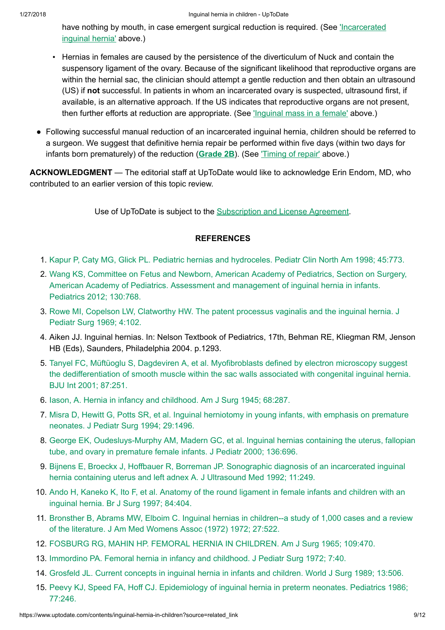have nothing by mouth, in case emergent [surgical reduction](https://www.uptodate.com/contents/inguinal-hernia-in-children?source=related_link#H25) is required. (See *'Incarcerated* inguinal hernia' above.)

- Hernias in females are caused by the persistence of the diverticulum of Nuck and contain the suspensory ligament of the ovary. Because of the significant likelihood that reproductive organs are within the hernial sac, the clinician should attempt a gentle reduction and then obtain an ultrasound (US) if not successful. In patients in whom an incarcerated ovary is suspected, ultrasound first, if available, is an alternative approach. If the US indicates that reproductive organs are not present, then further efforts at reduction are appropriate. (See ['Inguinal mass](https://www.uptodate.com/contents/inguinal-hernia-in-children?source=related_link#H24) in a female' above.)
- Following successful manual reduction of an incarcerated inguinal hernia, children should be referred to a surgeon. We suggest that definitive hernia repair be performed within five days (within two days for infants born prematurely) of the reduction ([Grade](https://www.uptodate.com/contents/grade/5?title=Grade%202B&topicKey=EM/6476) 2B). (See Timing of repair' above.)

ACKNOWLEDGMENT — The editorial staff at UpToDate would like to acknowledge Erin Endom, MD, who contributed to an earlier version of this topic review.

Use of UpToDate is subject to the [Subscription](https://www.uptodate.com/legal/license) and License Agreement.

## **REFERENCES**

- 1. Kapur P, Caty MG, Glick PL. Pediatric hernias and [hydroceles.](https://www.uptodate.com/contents/inguinal-hernia-in-children/abstract/1) Pediatr Clin North Am 1998; 45:773.
- 2. Wang KS, Committee on Fetus and Newborn, American Academy of Pediatrics, Section on Surgery, American Academy of Pediatrics. Assessment and management of [inguinal hernia](https://www.uptodate.com/contents/inguinal-hernia-in-children/abstract/2) in infants. Pediatrics 2012; 130:768.
- 3. Rowe MI, Copelson LW, Clatworthy HW. The patent processus vaginalis and the [inguinal hernia.](https://www.uptodate.com/contents/inguinal-hernia-in-children/abstract/3) J Pediatr Surg 1969; 4:102.
- 4. Aiken JJ. Inguinal hernias. In: Nelson Textbook of Pediatrics, 17th, Behman RE, Kliegman RM, Jenson HB (Eds), Saunders, Philadelphia 2004. p.1293.
- 5. Tanyel FC, Müftüoglu S, Dagdeviren A, et al. Myofibroblasts defined by electron microscopy suggest the dedifferentiation of smooth muscle within the sac walls associated with [congenital inguinal hernia.](https://www.uptodate.com/contents/inguinal-hernia-in-children/abstract/5) BJU Int 2001; 87:251.
- 6. Iason, A. Hernia in infancy and [childhood.](https://www.uptodate.com/contents/inguinal-hernia-in-children/abstract/6) Am J Surg 1945; 68:287.
- 7. Misra D, Hewitt G, Potts SR, et al. [Inguinal herniotomy](https://www.uptodate.com/contents/inguinal-hernia-in-children/abstract/7) in young infants, with emphasis on premature neonates. J Pediatr Surg 1994; 29:1496.
- 8. George EK, [Oudesluys-Murphy](https://www.uptodate.com/contents/inguinal-hernia-in-children/abstract/8) AM, Madern GC, et al. Inguinal hernias containing the uterus, fallopian tube, and ovary in premature female infants. J Pediatr 2000; 136:696.
- 9. Bijnens E, Broeckx J, Hoffbauer R, Borreman JP. [Sonographic](https://www.uptodate.com/contents/inguinal-hernia-in-children/abstract/9) diagnosis of an incarcerated inguinal hernia containing uterus and left adnex A. J Ultrasound Med 1992; 11:249.
- 10. Ando H, Kaneko K, Ito F, et al. Anatomy of the round ligament in female infants and children with an [inguinal hernia.](https://www.uptodate.com/contents/inguinal-hernia-in-children/abstract/10) Br J Surg 1997; 84:404.
- 11. Bronsther B, Abrams MW, Elboim C. [Inguinal hernias](https://www.uptodate.com/contents/inguinal-hernia-in-children/abstract/11) in children--a study of 1,000 cases and a review of the literature. J Am Med Womens Assoc (1972) 1972; 27:522.
- 12. FOSBURG RG, MAHIN HP. FEMORAL HERNIA IN [CHILDREN.](https://www.uptodate.com/contents/inguinal-hernia-in-children/abstract/12) Am J Surg 1965; 109:470.
- 13. Immordino PA. [Femoral hernia](https://www.uptodate.com/contents/inguinal-hernia-in-children/abstract/13) in infancy and childhood. J Pediatr Surg 1972; 7:40.
- 14. Grosfeld JL. Current concepts in [inguinal hernia](https://www.uptodate.com/contents/inguinal-hernia-in-children/abstract/14) in infants and children. World J Surg 1989; 13:506.
- 15. Peevy KJ, Speed FA, Hoff CJ. Epidemiology of [inguinal hernia](https://www.uptodate.com/contents/inguinal-hernia-in-children/abstract/15) in preterm neonates. Pediatrics 1986; 77:246.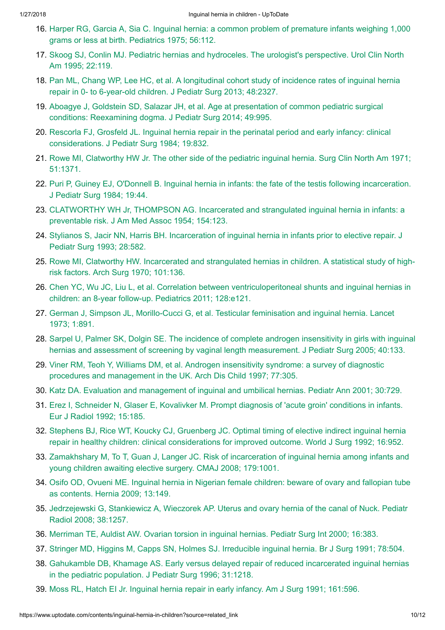- 16. Harper RG, Garcia A, Sia C. [Inguinal hernia:](https://www.uptodate.com/contents/inguinal-hernia-in-children/abstract/16) a common problem of premature infants weighing 1,000 grams or less at birth. Pediatrics 1975; 56:112.
- 17. Skoog SJ, Conlin MJ. Pediatric hernias and hydroceles. The urologist's [perspective.](https://www.uptodate.com/contents/inguinal-hernia-in-children/abstract/17) Urol Clin North Am 1995; 22:119.
- 18. Pan ML, Chang WP, Lee HC, et al. A [longitudinal cohort](https://www.uptodate.com/contents/inguinal-hernia-in-children/abstract/18) study of incidence rates of inguinal hernia repair in 0- to 6-year-old children. J Pediatr Surg 2013; 48:2327.
- 19. Aboagye J, Goldstein SD, Salazar JH, et al. Age at presentation of common pediatric surgical conditions: [Reexamining](https://www.uptodate.com/contents/inguinal-hernia-in-children/abstract/19) dogma. J Pediatr Surg 2014; 49:995.
- 20. Rescorla FJ, Grosfeld JL. Inguinal hernia repair in the [perinatal period](https://www.uptodate.com/contents/inguinal-hernia-in-children/abstract/20) and early infancy: clinical considerations. J Pediatr Surg 1984; 19:832.
- 21. Rowe MI, Clatworthy HW Jr. The other side of the pediatric [inguinal hernia.](https://www.uptodate.com/contents/inguinal-hernia-in-children/abstract/21) Surg Clin North Am 1971; 51:1371.
- 22. Puri P, Guiney EJ, O'Donnell B. [Inguinal hernia](https://www.uptodate.com/contents/inguinal-hernia-in-children/abstract/22) in infants: the fate of the testis following incarceration. J Pediatr Surg 1984; 19:44.
- 23. [CLATWORTHY](https://www.uptodate.com/contents/inguinal-hernia-in-children/abstract/23) WH Jr, THOMPSON AG. Incarcerated and strangulated inguinal hernia in infants: a preventable risk. J Am Med Assoc 1954; 154:123.
- 24. Stylianos S, Jacir NN, Harris BH. Incarceration of [inguinal hernia](https://www.uptodate.com/contents/inguinal-hernia-in-children/abstract/24) in infants prior to elective repair. J Pediatr Surg 1993; 28:582.
- 25. Rowe MI, Clatworthy HW. Incarcerated and strangulated hernias in children. A [statistical study](https://www.uptodate.com/contents/inguinal-hernia-in-children/abstract/25) of highrisk factors. Arch Surg 1970; 101:136.
- 26. Chen YC, Wu JC, Liu L, et al. Correlation between [ventriculoperitoneal shunts](https://www.uptodate.com/contents/inguinal-hernia-in-children/abstract/26) and inguinal hernias in children: an 8-year follow-up. Pediatrics 2011; 128:e121.
- 27. German J, Simpson JL, [Morillo-Cucci G,](https://www.uptodate.com/contents/inguinal-hernia-in-children/abstract/27) et al. Testicular feminisation and inguinal hernia. Lancet 1973; 1:891.
- 28. Sarpel U, Palmer SK, Dolgin SE. The incidence of complete androgen insensitivity in girls with inguinal hernias and assessment of screening by vaginal length [measurement.](https://www.uptodate.com/contents/inguinal-hernia-in-children/abstract/28) J Pediatr Surg 2005; 40:133.
- 29. Viner RM, Teoh Y, Williams DM, et al. Androgen insensitivity syndrome: a survey of diagnostic procedures and [management](https://www.uptodate.com/contents/inguinal-hernia-in-children/abstract/29) in the UK. Arch Dis Child 1997; 77:305.
- 30. Katz DA. Evaluation and management of inguinal and [umbilical hernias.](https://www.uptodate.com/contents/inguinal-hernia-in-children/abstract/30) Pediatr Ann 2001; 30:729.
- 31. Erez I, Schneider N, Glaser E, Kovalivker M. Prompt diagnosis of 'acute groin' conditions in infants. Eur J [Radiol 1992;](https://www.uptodate.com/contents/inguinal-hernia-in-children/abstract/31) 15:185.
- 32. Stephens BJ, Rice WT, Koucky CJ, Gruenberg JC. Optimal timing of elective indirect inguinal hernia repair in healthy children: [clinical considerations](https://www.uptodate.com/contents/inguinal-hernia-in-children/abstract/32) for improved outcome. World J Surg 1992; 16:952.
- 33. Zamakhshary M, To T, Guan J, Langer JC. Risk of incarceration of [inguinal hernia](https://www.uptodate.com/contents/inguinal-hernia-in-children/abstract/33) among infants and young children awaiting elective surgery. CMAJ 2008; 179:1001.
- 34. Osifo OD, Ovueni ME. [Inguinal hernia](https://www.uptodate.com/contents/inguinal-hernia-in-children/abstract/34) in Nigerian female children: beware of ovary and fallopian tube as contents. Hernia 2009; 13:149.
- 35. [Jedrzejewski G,](https://www.uptodate.com/contents/inguinal-hernia-in-children/abstract/35) Stankiewicz A, Wieczorek AP. Uterus and ovary hernia of the canal of Nuck. Pediatr Radiol 2008; 38:1257.
- 36. Merriman TE, Auldist AW. Ovarian torsion in [inguinal hernias.](https://www.uptodate.com/contents/inguinal-hernia-in-children/abstract/36) Pediatr Surg Int 2000; 16:383.
- 37. Stringer MD, Higgins M, Capps SN, Holmes SJ. Irreducible [inguinal hernia.](https://www.uptodate.com/contents/inguinal-hernia-in-children/abstract/37) Br J Surg 1991; 78:504.
- 38. Gahukamble DB, Khamage AS. Early versus delayed repair of reduced incarcerated [inguinal hernias](https://www.uptodate.com/contents/inguinal-hernia-in-children/abstract/38) in the pediatric population. J Pediatr Surg 1996; 31:1218.
- 39. Moss RL, Hatch EI Jr. [Inguinal hernia](https://www.uptodate.com/contents/inguinal-hernia-in-children/abstract/39) repair in early infancy. Am J Surg 1991; 161:596.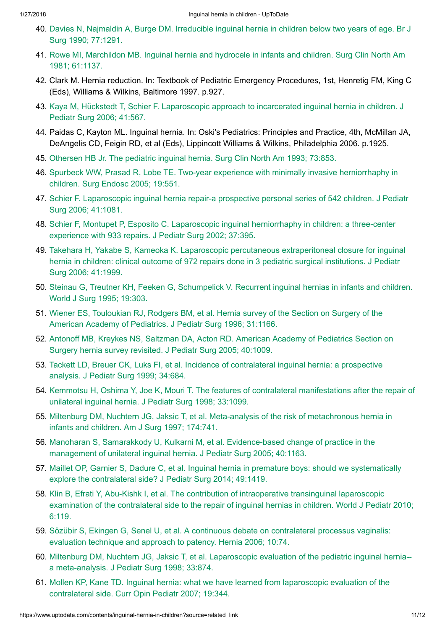- 40. Davies N, Najmaldin A, Burge DM. Irreducible [inguinal hernia](https://www.uptodate.com/contents/inguinal-hernia-in-children/abstract/40) in children below two years of age. Br J Surg 1990; 77:1291.
- 41. Rowe MI, Marchildon MB. [Inguinal hernia](https://www.uptodate.com/contents/inguinal-hernia-in-children/abstract/41) and hydrocele in infants and children. Surg Clin North Am 1981; 61:1137.
- 42. Clark M. Hernia reduction. In: Textbook of Pediatric Emergency Procedures, 1st, Henretig FM, King C (Eds), Williams & Wilkins, Baltimore 1997. p.927.
- 43. Kaya M, Hückstedt T, Schier F. Laparoscopic approach to incarcerated [inguinal hernia](https://www.uptodate.com/contents/inguinal-hernia-in-children/abstract/43) in children. J Pediatr Surg 2006; 41:567.
- 44. Paidas C, Kayton ML. Inguinal hernia. In: Oski's Pediatrics: Principles and Practice, 4th, McMillan JA, DeAngelis CD, Feigin RD, et al (Eds), Lippincott Williams & Wilkins, Philadelphia 2006. p.1925.
- 45. Othersen HB Jr. The pediatric [inguinal hernia.](https://www.uptodate.com/contents/inguinal-hernia-in-children/abstract/45) Surg Clin North Am 1993; 73:853.
- 46. Spurbeck WW, Prasad R, Lobe TE. Two-year experience with minimally invasive [herniorrhaphy](https://www.uptodate.com/contents/inguinal-hernia-in-children/abstract/46) in children. Surg Endosc 2005; 19:551.
- 47. Schier F. Laparoscopic inguinal hernia repair-a prospective [personal series](https://www.uptodate.com/contents/inguinal-hernia-in-children/abstract/47) of 542 children. J Pediatr Surg 2006; 41:1081.
- 48. Schier F, Montupet P, Esposito C. Laparoscopic [inguinal herniorrhaphy](https://www.uptodate.com/contents/inguinal-hernia-in-children/abstract/48) in children: a three-center experience with 933 repairs. J Pediatr Surg 2002; 37:395.
- 49. Takehara H, Yakabe S, Kameoka K. Laparoscopic percutaneous [extraperitoneal closure](https://www.uptodate.com/contents/inguinal-hernia-in-children/abstract/49) for inguinal hernia in children: clinical outcome of 972 repairs done in 3 pediatric surgical institutions. J Pediatr Surg 2006; 41:1999.
- 50. Steinau G, Treutner KH, Feeken G, Schumpelick V. Recurrent [inguinal hernias](https://www.uptodate.com/contents/inguinal-hernia-in-children/abstract/50) in infants and children. World J Surg 1995; 19:303.
- 51. Wiener ES, [Touloukian](https://www.uptodate.com/contents/inguinal-hernia-in-children/abstract/51) RJ, Rodgers BM, et al. Hernia survey of the Section on Surgery of the American Academy of Pediatrics. J Pediatr Surg 1996; 31:1166.
- 52. Antonoff MB, Kreykes NS, Saltzman DA, Acton RD. American Academy of [Pediatrics](https://www.uptodate.com/contents/inguinal-hernia-in-children/abstract/52) Section on Surgery hernia survey revisited. J Pediatr Surg 2005; 40:1009.
- 53. Tackett LD, Breuer CK, Luks FI, et al. Incidence of [contralateral inguinal hernia:](https://www.uptodate.com/contents/inguinal-hernia-in-children/abstract/53) a prospective analysis. J Pediatr Surg 1999; 34:684.
- 54. Kemmotsu H, Oshima Y, Joe K, Mouri T. The features of [contralateral manifestations](https://www.uptodate.com/contents/inguinal-hernia-in-children/abstract/54) after the repair of unilateral inguinal hernia. J Pediatr Surg 1998; 33:1099.
- 55. Miltenburg DM, Nuchtern JG, Jaksic T, et al. Meta-analysis of the risk of [metachronous](https://www.uptodate.com/contents/inguinal-hernia-in-children/abstract/55) hernia in infants and children. Am J Surg 1997; 174:741.
- 56. Manoharan S, Samarakkody U, Kulkarni M, et al. Evidence-based change of practice in the management of [unilateral inguinal hernia.](https://www.uptodate.com/contents/inguinal-hernia-in-children/abstract/56) J Pediatr Surg 2005; 40:1163.
- 57. Maillet OP, Garnier S, Dadure C, et al. Inguinal hernia in premature boys: should we systematically explore the [contralateral side?](https://www.uptodate.com/contents/inguinal-hernia-in-children/abstract/57) J Pediatr Surg 2014; 49:1419.
- 58. Klin B, Efrati Y, Abu-Kishk I, et al. The contribution of intraoperative [transinguinal laparoscopic](https://www.uptodate.com/contents/inguinal-hernia-in-children/abstract/58) examination of the contralateral side to the repair of inguinal hernias in children. World J Pediatr 2010; 6:119.
- 59. Sözübir S, Ekingen G, Senel U, et al. A continuous debate on [contralateral processus](https://www.uptodate.com/contents/inguinal-hernia-in-children/abstract/59) vaginalis: evaluation technique and approach to patency. Hernia 2006; 10:74.
- 60. Miltenburg DM, Nuchtern JG, Jaksic T, et al. Laparoscopic evaluation of the pediatric [inguinal hernia-](https://www.uptodate.com/contents/inguinal-hernia-in-children/abstract/60) a meta-analysis. J Pediatr Surg 1998; 33:874.
- 61. Mollen KP, Kane TD. Inguinal hernia: what we have learned from laparoscopic evaluation of the [contralateral side.](https://www.uptodate.com/contents/inguinal-hernia-in-children/abstract/61) Curr Opin Pediatr 2007; 19:344.